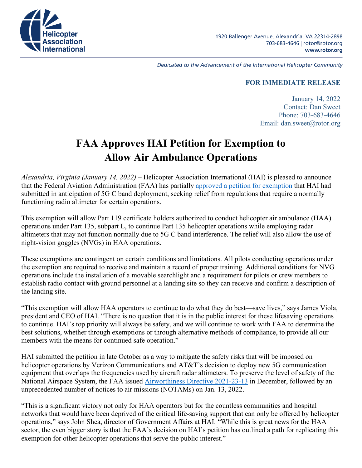

1920 Ballenger Avenue, Alexandria, VA 22314-2898 703-683-4646 | rotor@rotor.org www.rotor.org

Dedicated to the Advancement of the International Helicopter Community

## **FOR IMMEDIATE RELEASE**

January 14, 2022 Contact: Dan Sweet Phone: 703-683-4646 Email: dan.sweet@rotor.org

## **FAA Approves HAI Petition for Exemption to Allow Air Ambulance Operations**

*Alexandria, Virginia (January 14, 2022) –* Helicopter Association International (HAI) is pleased to announce that the Federal Aviation Administration (FAA) has partially [approved a petition for exemption](https://rotormedia.com/wp-content/uploads/2022/01/Approved-HAI-5G-Partial-grant.pdf) that HAI had submitted in anticipation of 5G C band deployment, seeking relief from regulations that require a normally functioning radio altimeter for certain operations.

This exemption will allow Part 119 certificate holders authorized to conduct helicopter air ambulance (HAA) operations under Part 135, subpart L, to continue Part 135 helicopter operations while employing radar altimeters that may not function normally due to 5G C band interference. The relief will also allow the use of night-vision goggles (NVGs) in HAA operations.

These exemptions are contingent on certain conditions and limitations. All pilots conducting operations under the exemption are required to receive and maintain a record of proper training. Additional conditions for NVG operations include the installation of a movable searchlight and a requirement for pilots or crew members to establish radio contact with ground personnel at a landing site so they can receive and confirm a description of the landing site.

"This exemption will allow HAA operators to continue to do what they do best—save lives," says James Viola, president and CEO of HAI. "There is no question that it is in the public interest for these lifesaving operations to continue. HAI's top priority will always be safety, and we will continue to work with FAA to determine the best solutions, whether through exemptions or through alternative methods of compliance, to provide all our members with the means for continued safe operation."

HAI submitted the petition in late October as a way to mitigate the safety risks that will be imposed on helicopter operations by Verizon Communications and AT&T's decision to deploy new 5G communication equipment that overlaps the frequencies used by aircraft radar altimeters. To preserve the level of safety of the National Airspace System, the FAA issued [Airworthiness Directive 2021-23-13](https://drs.faa.gov/browse/excelExternalWindow/8fb49689-7eab-4a3b-9d30-0131a272131d) in December, followed by an unprecedented number of notices to air missions (NOTAMs) on Jan. 13, 2022.

"This is a significant victory not only for HAA operators but for the countless communities and hospital networks that would have been deprived of the critical life-saving support that can only be offered by helicopter operations," says John Shea, director of Government Affairs at HAI. "While this is great news for the HAA sector, the even bigger story is that the FAA's decision on HAI's petition has outlined a path for replicating this exemption for other helicopter operations that serve the public interest."